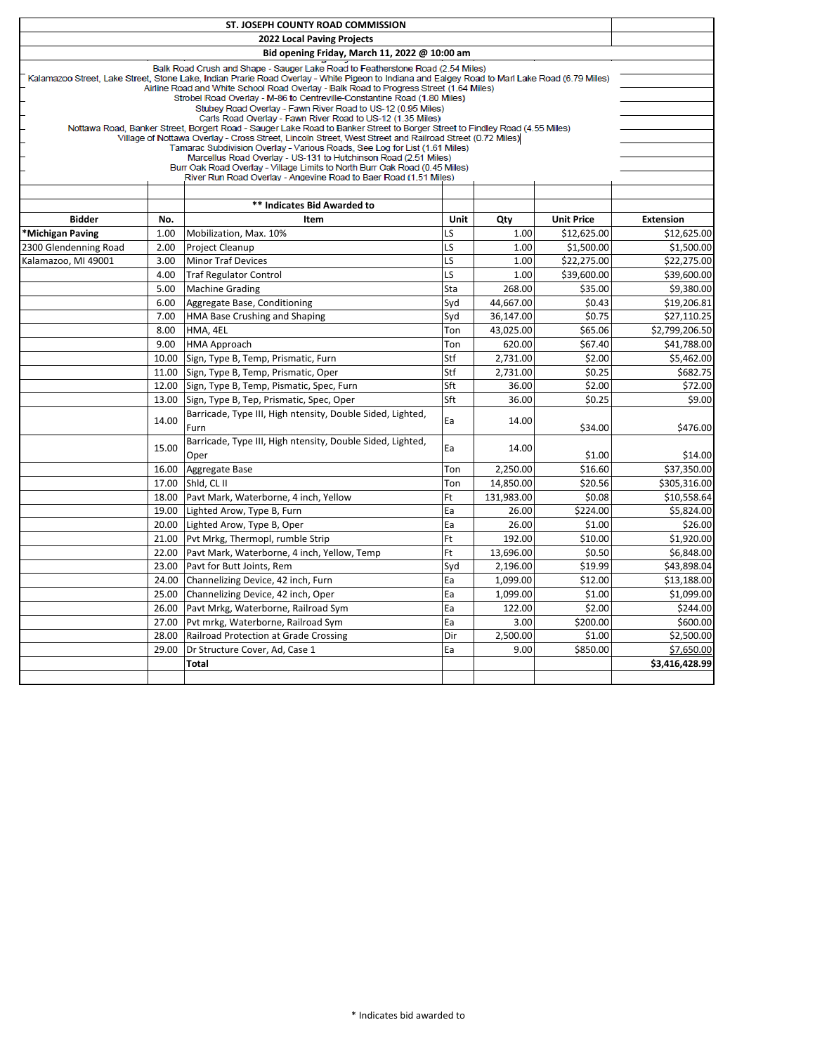|                                                                                                                                                                                                                                          |       | ST. JOSEPH COUNTY ROAD COMMISSION                                                                                                                                                         |            |                   |                   |                  |  |
|------------------------------------------------------------------------------------------------------------------------------------------------------------------------------------------------------------------------------------------|-------|-------------------------------------------------------------------------------------------------------------------------------------------------------------------------------------------|------------|-------------------|-------------------|------------------|--|
| 2022 Local Paving Projects                                                                                                                                                                                                               |       |                                                                                                                                                                                           |            |                   |                   |                  |  |
|                                                                                                                                                                                                                                          |       | Bid opening Friday, March 11, 2022 @ 10:00 am                                                                                                                                             |            |                   |                   |                  |  |
|                                                                                                                                                                                                                                          |       | Balk Road Crush and Shape - Sauger Lake Road to Featherstone Road (2.54 Miles)                                                                                                            |            |                   |                   |                  |  |
| Kalamazoo Street, Lake Street, Stone Lake, Indian Prarie Road Overlay - White Pigeon to Indiana and Ealgey Road to Marl Lake Road (6.79 Miles)<br>Airline Road and White School Road Overlay - Balk Road to Progress Street (1.64 Miles) |       |                                                                                                                                                                                           |            |                   |                   |                  |  |
| Strobel Road Overlay - M-86 to Centreville-Constantine Road (1.80 Miles)                                                                                                                                                                 |       |                                                                                                                                                                                           |            |                   |                   |                  |  |
|                                                                                                                                                                                                                                          |       | Stubey Road Overlay - Fawn River Road to US-12 (0.95 Miles)                                                                                                                               |            |                   |                   |                  |  |
|                                                                                                                                                                                                                                          |       | Carls Road Overlay - Fawn River Road to US-12 (1.35 Miles)<br>Nottawa Road, Banker Street, Borgert Road - Sauger Lake Road to Banker Street to Borger Street to Findley Road (4.55 Miles) |            |                   |                   |                  |  |
|                                                                                                                                                                                                                                          |       | Village of Nottawa Overlay - Cross Street, Lincoln Street, West Street and Railroad Street (0.72 Miles)                                                                                   |            |                   |                   |                  |  |
|                                                                                                                                                                                                                                          |       | Tamarac Subdivision Overlay - Various Roads, See Log for List (1.61 Miles)<br>Marcellus Road Overlay - US-131 to Hutchinson Road (2.51 Miles)                                             |            |                   |                   |                  |  |
|                                                                                                                                                                                                                                          |       | Burr Oak Road Overlay - Village Limits to North Burr Oak Road (0.45 Miles)                                                                                                                |            |                   |                   |                  |  |
|                                                                                                                                                                                                                                          |       | River Run Road Overlay - Angevine Road to Baer Road (1.51 Miles)                                                                                                                          |            |                   |                   |                  |  |
|                                                                                                                                                                                                                                          |       |                                                                                                                                                                                           |            |                   |                   |                  |  |
|                                                                                                                                                                                                                                          |       | ** Indicates Bid Awarded to                                                                                                                                                               |            |                   |                   |                  |  |
| <b>Bidder</b>                                                                                                                                                                                                                            | No.   | Item                                                                                                                                                                                      | Unit       | Qty               | <b>Unit Price</b> | <b>Extension</b> |  |
| *Michigan Paving                                                                                                                                                                                                                         | 1.00  | Mobilization, Max. 10%                                                                                                                                                                    | LS         | $1.00\,$          | \$12,625.00       | \$12,625.00      |  |
| 2300 Glendenning Road                                                                                                                                                                                                                    | 2.00  | <b>Project Cleanup</b>                                                                                                                                                                    | LS         | 1.00              | \$1,500.00        | \$1,500.00       |  |
| Kalamazoo, MI 49001                                                                                                                                                                                                                      | 3.00  | <b>Minor Traf Devices</b>                                                                                                                                                                 | LS<br>LS   | 1.00              | \$22,275.00       | \$22,275.00      |  |
|                                                                                                                                                                                                                                          | 4.00  | <b>Traf Regulator Control</b>                                                                                                                                                             |            | 1.00              | \$39,600.00       | \$39,600.00      |  |
|                                                                                                                                                                                                                                          | 5.00  | <b>Machine Grading</b>                                                                                                                                                                    | Sta        | 268.00            | \$35.00           | \$9,380.00       |  |
|                                                                                                                                                                                                                                          | 6.00  | Aggregate Base, Conditioning                                                                                                                                                              | Syd        | 44,667.00         | \$0.43            | \$19,206.81      |  |
|                                                                                                                                                                                                                                          | 7.00  | HMA Base Crushing and Shaping                                                                                                                                                             | Syd        | 36,147.00         | \$0.75            | \$27,110.25      |  |
|                                                                                                                                                                                                                                          | 8.00  | HMA, 4EL                                                                                                                                                                                  | Ton        | 43,025.00         | \$65.06           | \$2,799,206.50   |  |
|                                                                                                                                                                                                                                          | 9.00  | <b>HMA Approach</b>                                                                                                                                                                       | Ton        | 620.00            | \$67.40           | \$41,788.00      |  |
|                                                                                                                                                                                                                                          | 10.00 | Sign, Type B, Temp, Prismatic, Furn                                                                                                                                                       | Stf<br>Stf | 2,731.00          | \$2.00            | \$5,462.00       |  |
|                                                                                                                                                                                                                                          | 11.00 | Sign, Type B, Temp, Prismatic, Oper                                                                                                                                                       | Sft        | 2,731.00<br>36.00 | \$0.25<br>\$2.00  | \$682.75         |  |
|                                                                                                                                                                                                                                          | 12.00 | Sign, Type B, Temp, Pismatic, Spec, Furn                                                                                                                                                  |            |                   | \$0.25            | \$72.00          |  |
|                                                                                                                                                                                                                                          | 13.00 | Sign, Type B, Tep, Prismatic, Spec, Oper                                                                                                                                                  | Sft        | 36.00             |                   | \$9.00           |  |
|                                                                                                                                                                                                                                          | 14.00 | Barricade, Type III, High ntensity, Double Sided, Lighted,<br>Furn                                                                                                                        | Ea         | 14.00             | \$34.00           | \$476.00         |  |
|                                                                                                                                                                                                                                          | 15.00 | Barricade, Type III, High ntensity, Double Sided, Lighted,<br>Oper                                                                                                                        | Ea         | 14.00             | \$1.00            | \$14.00          |  |
|                                                                                                                                                                                                                                          | 16.00 | Aggregate Base                                                                                                                                                                            | Ton        | 2,250.00          | \$16.60           | \$37,350.00      |  |
|                                                                                                                                                                                                                                          | 17.00 | Shid, CL II                                                                                                                                                                               | Ton        | 14,850.00         | \$20.56           | \$305,316.00     |  |
|                                                                                                                                                                                                                                          | 18.00 | Pavt Mark, Waterborne, 4 inch, Yellow                                                                                                                                                     | Ft         | 131,983.00        | \$0.08            | \$10,558.64      |  |
|                                                                                                                                                                                                                                          | 19.00 | Lighted Arow, Type B, Furn                                                                                                                                                                | Ea         | 26.00             | \$224.00          | \$5,824.00       |  |
|                                                                                                                                                                                                                                          | 20.00 | Lighted Arow, Type B, Oper                                                                                                                                                                | Ea         | 26.00             | \$1.00            | \$26.00          |  |
|                                                                                                                                                                                                                                          | 21.00 | Pvt Mrkg, Thermopl, rumble Strip                                                                                                                                                          | Ft         | 192.00            | \$10.00           | \$1,920.00       |  |
|                                                                                                                                                                                                                                          | 22.00 | Pavt Mark, Waterborne, 4 inch, Yellow, Temp                                                                                                                                               | Ft         | 13,696.00         | \$0.50            | \$6,848.00       |  |
|                                                                                                                                                                                                                                          | 23.00 | Pavt for Butt Joints, Rem                                                                                                                                                                 | Syd        | 2,196.00          | \$19.99           | \$43,898.04      |  |
|                                                                                                                                                                                                                                          | 24.00 | Channelizing Device, 42 inch, Furn                                                                                                                                                        | Ea         | 1,099.00          | \$12.00           | \$13,188.00      |  |
|                                                                                                                                                                                                                                          | 25.00 | Channelizing Device, 42 inch, Oper                                                                                                                                                        | Ea         | 1,099.00          | \$1.00            | \$1,099.00       |  |
|                                                                                                                                                                                                                                          | 26.00 | Pavt Mrkg, Waterborne, Railroad Sym                                                                                                                                                       | Ea         | 122.00            | \$2.00            | \$244.00         |  |
|                                                                                                                                                                                                                                          | 27.00 | Pvt mrkg, Waterborne, Railroad Sym                                                                                                                                                        | Ea         | 3.00              | \$200.00          | \$600.00         |  |
|                                                                                                                                                                                                                                          | 28.00 | Railroad Protection at Grade Crossing                                                                                                                                                     | Dir        | 2,500.00          | \$1.00            | \$2,500.00       |  |
|                                                                                                                                                                                                                                          | 29.00 | Dr Structure Cover, Ad, Case 1                                                                                                                                                            | Ea         | 9.00              | \$850.00          | \$7,650.00       |  |
|                                                                                                                                                                                                                                          |       | Total                                                                                                                                                                                     |            |                   |                   | \$3.416.428.99   |  |
|                                                                                                                                                                                                                                          |       |                                                                                                                                                                                           |            |                   |                   |                  |  |